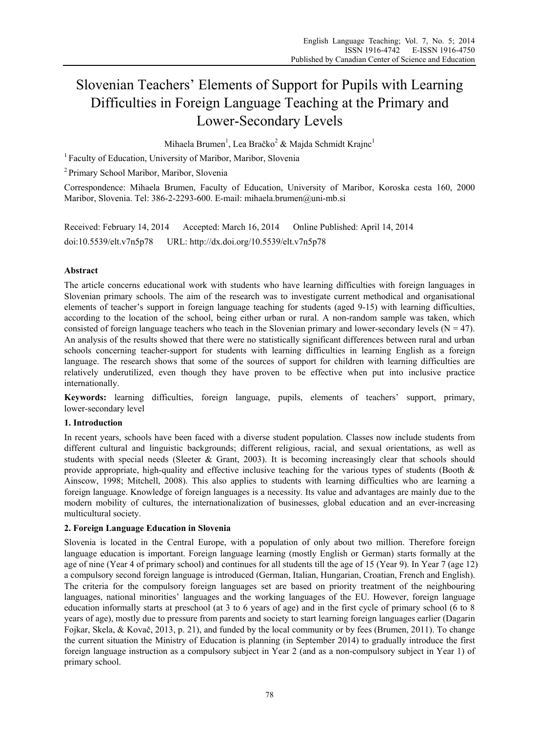# Slovenian Teachers' Elements of Support for Pupils with Learning Difficulties in Foreign Language Teaching at the Primary and Lower-Secondary Levels

Mihaela Brumen<sup>1</sup>, Lea Bračko<sup>2</sup> & Majda Schmidt Krajnc<sup>1</sup>

1 Faculty of Education, University of Maribor, Maribor, Slovenia

2 Primary School Maribor, Maribor, Slovenia

Correspondence: Mihaela Brumen, Faculty of Education, University of Maribor, Koroska cesta 160, 2000 Maribor, Slovenia. Tel: 386-2-2293-600. E-mail: mihaela.brumen@uni-mb.si

Received: February 14, 2014 Accepted: March 16, 2014 Online Published: April 14, 2014 doi:10.5539/elt.v7n5p78 URL: http://dx.doi.org/10.5539/elt.v7n5p78

## **Abstract**

The article concerns educational work with students who have learning difficulties with foreign languages in Slovenian primary schools. The aim of the research was to investigate current methodical and organisational elements of teacher's support in foreign language teaching for students (aged 9-15) with learning difficulties, according to the location of the school, being either urban or rural. A non-random sample was taken, which consisted of foreign language teachers who teach in the Slovenian primary and lower-secondary levels  $(N = 47)$ . An analysis of the results showed that there were no statistically significant differences between rural and urban schools concerning teacher-support for students with learning difficulties in learning English as a foreign language. The research shows that some of the sources of support for children with learning difficulties are relatively underutilized, even though they have proven to be effective when put into inclusive practice internationally.

**Keywords:** learning difficulties, foreign language, pupils, elements of teachers' support, primary, lower-secondary level

## **1. Introduction**

In recent years, schools have been faced with a diverse student population. Classes now include students from different cultural and linguistic backgrounds; different religious, racial, and sexual orientations, as well as students with special needs (Sleeter  $\&$  Grant, 2003). It is becoming increasingly clear that schools should provide appropriate, high-quality and effective inclusive teaching for the various types of students (Booth  $\&$ Ainscow, 1998; Mitchell, 2008). This also applies to students with learning difficulties who are learning a foreign language. Knowledge of foreign languages is a necessity. Its value and advantages are mainly due to the modern mobility of cultures, the internationalization of businesses, global education and an ever-increasing multicultural society.

#### **2. Foreign Language Education in Slovenia**

Slovenia is located in the Central Europe, with a population of only about two million. Therefore foreign language education is important. Foreign language learning (mostly English or German) starts formally at the age of nine (Year 4 of primary school) and continues for all students till the age of 15 (Year 9). In Year 7 (age 12) a compulsory second foreign language is introduced (German, Italian, Hungarian, Croatian, French and English). The criteria for the compulsory foreign languages set are based on priority treatment of the neighbouring languages, national minorities' languages and the working languages of the EU. However, foreign language education informally starts at preschool (at 3 to 6 years of age) and in the first cycle of primary school (6 to 8 years of age), mostly due to pressure from parents and society to start learning foreign languages earlier (Dagarin Fojkar, Skela, & Kovač, 2013, p. 21), and funded by the local community or by fees (Brumen, 2011). To change the current situation the Ministry of Education is planning (in September 2014) to gradually introduce the first foreign language instruction as a compulsory subject in Year 2 (and as a non-compulsory subject in Year 1) of primary school.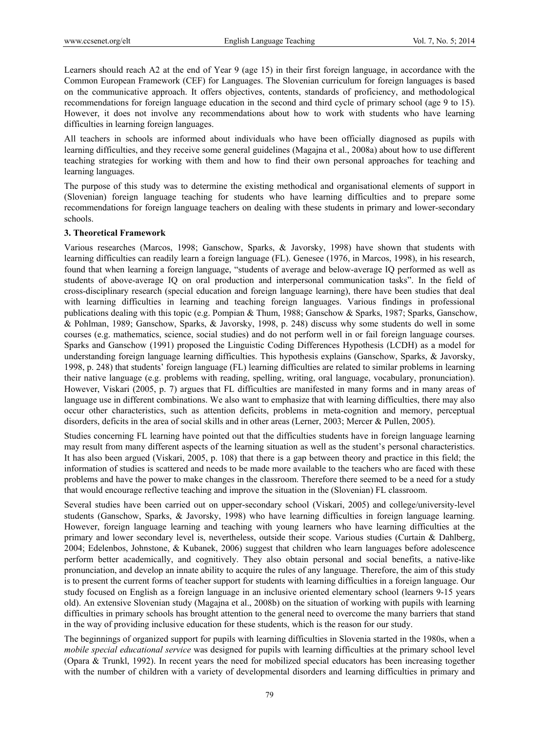Learners should reach A2 at the end of Year 9 (age 15) in their first foreign language, in accordance with the Common European Framework (CEF) for Languages. The Slovenian curriculum for foreign languages is based on the communicative approach. It offers objectives, contents, standards of proficiency, and methodological recommendations for foreign language education in the second and third cycle of primary school (age 9 to 15). However, it does not involve any recommendations about how to work with students who have learning difficulties in learning foreign languages.

All teachers in schools are informed about individuals who have been officially diagnosed as pupils with learning difficulties, and they receive some general guidelines (Magajna et al., 2008a) about how to use different teaching strategies for working with them and how to find their own personal approaches for teaching and learning languages.

The purpose of this study was to determine the existing methodical and organisational elements of support in (Slovenian) foreign language teaching for students who have learning difficulties and to prepare some recommendations for foreign language teachers on dealing with these students in primary and lower-secondary schools.

#### **3. Theoretical Framework**

Various researches (Marcos, 1998; Ganschow, Sparks, & Javorsky, 1998) have shown that students with learning difficulties can readily learn a foreign language (FL). Genesee (1976, in Marcos, 1998), in his research, found that when learning a foreign language, "students of average and below-average IQ performed as well as students of above-average IQ on oral production and interpersonal communication tasks". In the field of cross-disciplinary research (special education and foreign language learning), there have been studies that deal with learning difficulties in learning and teaching foreign languages. Various findings in professional publications dealing with this topic (e.g. Pompian & Thum, 1988; Ganschow & Sparks, 1987; Sparks, Ganschow, & Pohlman, 1989; Ganschow, Sparks, & Javorsky, 1998, p. 248) discuss why some students do well in some courses (e.g. mathematics, science, social studies) and do not perform well in or fail foreign language courses. Sparks and Ganschow (1991) proposed the Linguistic Coding Differences Hypothesis (LCDH) as a model for understanding foreign language learning difficulties. This hypothesis explains (Ganschow, Sparks, & Javorsky, 1998, p. 248) that students' foreign language (FL) learning difficulties are related to similar problems in learning their native language (e.g. problems with reading, spelling, writing, oral language, vocabulary, pronunciation). However, Viskari (2005, p. 7) argues that FL difficulties are manifested in many forms and in many areas of language use in different combinations. We also want to emphasize that with learning difficulties, there may also occur other characteristics, such as attention deficits, problems in meta-cognition and memory, perceptual disorders, deficits in the area of social skills and in other areas (Lerner, 2003; Mercer & Pullen, 2005).

Studies concerning FL learning have pointed out that the difficulties students have in foreign language learning may result from many different aspects of the learning situation as well as the student's personal characteristics. It has also been argued (Viskari, 2005, p. 108) that there is a gap between theory and practice in this field; the information of studies is scattered and needs to be made more available to the teachers who are faced with these problems and have the power to make changes in the classroom. Therefore there seemed to be a need for a study that would encourage reflective teaching and improve the situation in the (Slovenian) FL classroom.

Several studies have been carried out on upper-secondary school (Viskari, 2005) and college/university-level students (Ganschow, Sparks, & Javorsky, 1998) who have learning difficulties in foreign language learning. However, foreign language learning and teaching with young learners who have learning difficulties at the primary and lower secondary level is, nevertheless, outside their scope. Various studies (Curtain & Dahlberg, 2004; Edelenbos, Johnstone, & Kubanek, 2006) suggest that children who learn languages before adolescence perform better academically, and cognitively. They also obtain personal and social benefits, a native-like pronunciation, and develop an innate ability to acquire the rules of any language. Therefore, the aim of this study is to present the current forms of teacher support for students with learning difficulties in a foreign language. Our study focused on English as a foreign language in an inclusive oriented elementary school (learners 9-15 years old). An extensive Slovenian study (Magajna et al., 2008b) on the situation of working with pupils with learning difficulties in primary schools has brought attention to the general need to overcome the many barriers that stand in the way of providing inclusive education for these students, which is the reason for our study.

The beginnings of organized support for pupils with learning difficulties in Slovenia started in the 1980s, when a *mobile special educational service* was designed for pupils with learning difficulties at the primary school level (Opara & Trunkl, 1992). In recent years the need for mobilized special educators has been increasing together with the number of children with a variety of developmental disorders and learning difficulties in primary and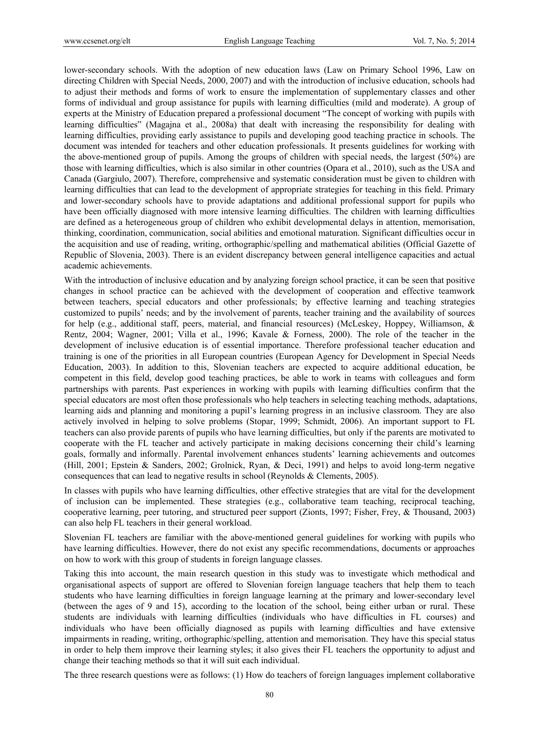lower-secondary schools. With the adoption of new education laws (Law on Primary School 1996, Law on directing Children with Special Needs, 2000, 2007) and with the introduction of inclusive education, schools had to adjust their methods and forms of work to ensure the implementation of supplementary classes and other forms of individual and group assistance for pupils with learning difficulties (mild and moderate). A group of experts at the Ministry of Education prepared a professional document "The concept of working with pupils with learning difficulties" (Magajna et al., 2008a) that dealt with increasing the responsibility for dealing with learning difficulties, providing early assistance to pupils and developing good teaching practice in schools. The document was intended for teachers and other education professionals. It presents guidelines for working with the above-mentioned group of pupils. Among the groups of children with special needs, the largest (50%) are those with learning difficulties, which is also similar in other countries (Opara et al., 2010), such as the USA and Canada (Gargiulo, 2007). Therefore, comprehensive and systematic consideration must be given to children with learning difficulties that can lead to the development of appropriate strategies for teaching in this field. Primary and lower-secondary schools have to provide adaptations and additional professional support for pupils who have been officially diagnosed with more intensive learning difficulties. The children with learning difficulties are defined as a heterogeneous group of children who exhibit developmental delays in attention, memorisation, thinking, coordination, communication, social abilities and emotional maturation. Significant difficulties occur in the acquisition and use of reading, writing, orthographic/spelling and mathematical abilities (Official Gazette of Republic of Slovenia, 2003). There is an evident discrepancy between general intelligence capacities and actual academic achievements.

With the introduction of inclusive education and by analyzing foreign school practice, it can be seen that positive changes in school practice can be achieved with the development of cooperation and effective teamwork between teachers, special educators and other professionals; by effective learning and teaching strategies customized to pupils' needs; and by the involvement of parents, teacher training and the availability of sources for help (e.g., additional staff, peers, material, and financial resources) (McLeskey, Hoppey, Williamson, & Rentz, 2004; Wagner, 2001; Villa et al., 1996; Kavale & Forness, 2000). The role of the teacher in the development of inclusive education is of essential importance. Therefore professional teacher education and training is one of the priorities in all European countries (European Agency for Development in Special Needs Education, 2003). In addition to this, Slovenian teachers are expected to acquire additional education, be competent in this field, develop good teaching practices, be able to work in teams with colleagues and form partnerships with parents. Past experiences in working with pupils with learning difficulties confirm that the special educators are most often those professionals who help teachers in selecting teaching methods, adaptations, learning aids and planning and monitoring a pupil's learning progress in an inclusive classroom. They are also actively involved in helping to solve problems (Stopar, 1999; Schmidt, 2006). An important support to FL teachers can also provide parents of pupils who have learning difficulties, but only if the parents are motivated to cooperate with the FL teacher and actively participate in making decisions concerning their child's learning goals, formally and informally. Parental involvement enhances students' learning achievements and outcomes (Hill, 2001; Epstein & Sanders, 2002; Grolnick, Ryan, & Deci, 1991) and helps to avoid long-term negative consequences that can lead to negative results in school (Reynolds & Clements, 2005).

In classes with pupils who have learning difficulties, other effective strategies that are vital for the development of inclusion can be implemented. These strategies (e.g., collaborative team teaching, reciprocal teaching, cooperative learning, peer tutoring, and structured peer support (Zionts, 1997; Fisher, Frey, & Thousand, 2003) can also help FL teachers in their general workload.

Slovenian FL teachers are familiar with the above-mentioned general guidelines for working with pupils who have learning difficulties. However, there do not exist any specific recommendations, documents or approaches on how to work with this group of students in foreign language classes.

Taking this into account, the main research question in this study was to investigate which methodical and organisational aspects of support are offered to Slovenian foreign language teachers that help them to teach students who have learning difficulties in foreign language learning at the primary and lower-secondary level (between the ages of 9 and 15), according to the location of the school, being either urban or rural. These students are individuals with learning difficulties (individuals who have difficulties in FL courses) and individuals who have been officially diagnosed as pupils with learning difficulties and have extensive impairments in reading, writing, orthographic/spelling, attention and memorisation. They have this special status in order to help them improve their learning styles; it also gives their FL teachers the opportunity to adjust and change their teaching methods so that it will suit each individual.

The three research questions were as follows: (1) How do teachers of foreign languages implement collaborative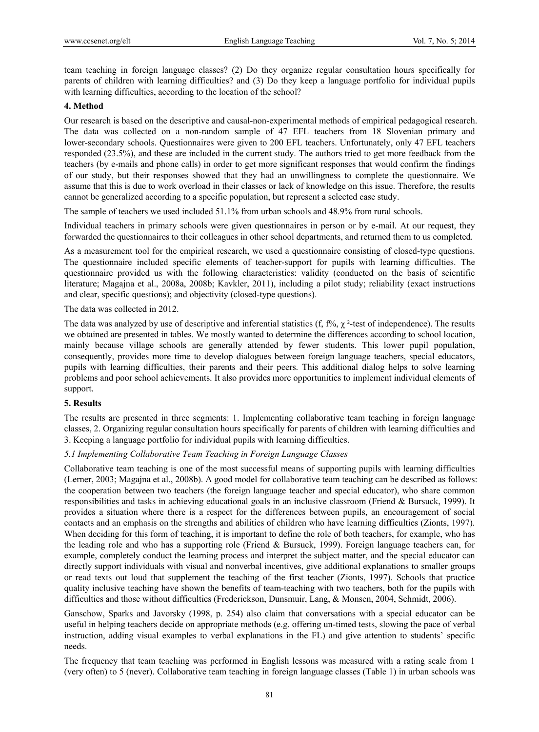team teaching in foreign language classes? (2) Do they organize regular consultation hours specifically for parents of children with learning difficulties? and (3) Do they keep a language portfolio for individual pupils with learning difficulties, according to the location of the school?

#### **4. Method**

Our research is based on the descriptive and causal-non-experimental methods of empirical pedagogical research. The data was collected on a non-random sample of 47 EFL teachers from 18 Slovenian primary and lower-secondary schools. Questionnaires were given to 200 EFL teachers. Unfortunately, only 47 EFL teachers responded (23.5%), and these are included in the current study. The authors tried to get more feedback from the teachers (by e-mails and phone calls) in order to get more significant responses that would confirm the findings of our study, but their responses showed that they had an unwillingness to complete the questionnaire. We assume that this is due to work overload in their classes or lack of knowledge on this issue. Therefore, the results cannot be generalized according to a specific population, but represent a selected case study.

The sample of teachers we used included 51.1% from urban schools and 48.9% from rural schools.

Individual teachers in primary schools were given questionnaires in person or by e-mail. At our request, they forwarded the questionnaires to their colleagues in other school departments, and returned them to us completed.

As a measurement tool for the empirical research, we used a questionnaire consisting of closed-type questions. The questionnaire included specific elements of teacher-support for pupils with learning difficulties. The questionnaire provided us with the following characteristics: validity (conducted on the basis of scientific literature; Magajna et al., 2008a, 2008b; Kavkler, 2011), including a pilot study; reliability (exact instructions and clear, specific questions); and objectivity (closed-type questions).

The data was collected in 2012.

The data was analyzed by use of descriptive and inferential statistics (f, f%,  $\chi^2$ -test of independence). The results we obtained are presented in tables. We mostly wanted to determine the differences according to school location, mainly because village schools are generally attended by fewer students. This lower pupil population, consequently, provides more time to develop dialogues between foreign language teachers, special educators, pupils with learning difficulties, their parents and their peers. This additional dialog helps to solve learning problems and poor school achievements. It also provides more opportunities to implement individual elements of support.

#### **5. Results**

The results are presented in three segments: 1. Implementing collaborative team teaching in foreign language classes, 2. Organizing regular consultation hours specifically for parents of children with learning difficulties and 3. Keeping a language portfolio for individual pupils with learning difficulties.

#### *5.1 Implementing Collaborative Team Teaching in Foreign Language Classes*

Collaborative team teaching is one of the most successful means of supporting pupils with learning difficulties (Lerner, 2003; Magajna et al., 2008b). A good model for collaborative team teaching can be described as follows: the cooperation between two teachers (the foreign language teacher and special educator), who share common responsibilities and tasks in achieving educational goals in an inclusive classroom (Friend & Bursuck, 1999). It provides a situation where there is a respect for the differences between pupils, an encouragement of social contacts and an emphasis on the strengths and abilities of children who have learning difficulties (Zionts, 1997). When deciding for this form of teaching, it is important to define the role of both teachers, for example, who has the leading role and who has a supporting role (Friend & Bursuck, 1999). Foreign language teachers can, for example, completely conduct the learning process and interpret the subject matter, and the special educator can directly support individuals with visual and nonverbal incentives, give additional explanations to smaller groups or read texts out loud that supplement the teaching of the first teacher (Zionts, 1997). Schools that practice quality inclusive teaching have shown the benefits of team-teaching with two teachers, both for the pupils with difficulties and those without difficulties (Frederickson, Dunsmuir, Lang, & Monsen, 2004, Schmidt, 2006).

Ganschow, Sparks and Javorsky (1998, p. 254) also claim that conversations with a special educator can be useful in helping teachers decide on appropriate methods (e.g. offering un-timed tests, slowing the pace of verbal instruction, adding visual examples to verbal explanations in the FL) and give attention to students' specific needs.

The frequency that team teaching was performed in English lessons was measured with a rating scale from 1 (very often) to 5 (never). Collaborative team teaching in foreign language classes (Table 1) in urban schools was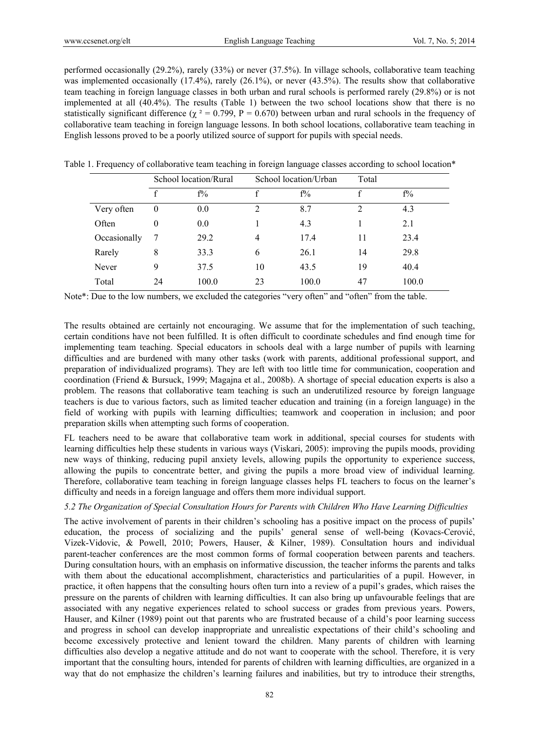performed occasionally (29.2%), rarely (33%) or never (37.5%). In village schools, collaborative team teaching was implemented occasionally (17.4%), rarely (26.1%), or never (43.5%). The results show that collaborative team teaching in foreign language classes in both urban and rural schools is performed rarely (29.8%) or is not implemented at all (40.4%). The results (Table 1) between the two school locations show that there is no statistically significant difference ( $\chi^2 = 0.799$ , P = 0.670) between urban and rural schools in the frequency of collaborative team teaching in foreign language lessons. In both school locations, collaborative team teaching in English lessons proved to be a poorly utilized source of support for pupils with special needs.

|  |              | School location/Rural |       | School location/Urban |       | Total |       |  |
|--|--------------|-----------------------|-------|-----------------------|-------|-------|-------|--|
|  |              | f                     | $f\%$ | f                     | $f\%$ | f     | $f\%$ |  |
|  | Very often   | $\bf{0}$              | 0.0   | $\overline{2}$        | 8.7   | 2     | 4.3   |  |
|  | Often        | $\theta$              | 0.0   |                       | 4.3   |       | 2.1   |  |
|  | Occasionally | -7                    | 29.2  | $\overline{4}$        | 17.4  | 11    | 23.4  |  |
|  | Rarely       | 8                     | 33.3  | 6                     | 26.1  | 14    | 29.8  |  |
|  | Never        | 9                     | 37.5  | 10                    | 43.5  | 19    | 40.4  |  |
|  | Total        | 24                    | 100.0 | 23                    | 100.0 | 47    | 100.0 |  |
|  |              |                       |       |                       |       |       |       |  |

Table 1. Frequency of collaborative team teaching in foreign language classes according to school location\*

Note\*: Due to the low numbers, we excluded the categories "very often" and "often" from the table.

The results obtained are certainly not encouraging. We assume that for the implementation of such teaching, certain conditions have not been fulfilled. It is often difficult to coordinate schedules and find enough time for implementing team teaching. Special educators in schools deal with a large number of pupils with learning difficulties and are burdened with many other tasks (work with parents, additional professional support, and preparation of individualized programs). They are left with too little time for communication, cooperation and coordination (Friend & Bursuck, 1999; Magajna et al., 2008b). A shortage of special education experts is also a problem. The reasons that collaborative team teaching is such an underutilized resource by foreign language teachers is due to various factors, such as limited teacher education and training (in a foreign language) in the field of working with pupils with learning difficulties; teamwork and cooperation in inclusion; and poor preparation skills when attempting such forms of cooperation.

FL teachers need to be aware that collaborative team work in additional, special courses for students with learning difficulties help these students in various ways (Viskari, 2005): improving the pupils moods, providing new ways of thinking, reducing pupil anxiety levels, allowing pupils the opportunity to experience success, allowing the pupils to concentrate better, and giving the pupils a more broad view of individual learning. Therefore, collaborative team teaching in foreign language classes helps FL teachers to focus on the learner's difficulty and needs in a foreign language and offers them more individual support.

#### *5.2 The Organization of Special Consultation Hours for Parents with Children Who Have Learning Difficulties*

The active involvement of parents in their children's schooling has a positive impact on the process of pupils' education, the process of socializing and the pupils' general sense of well-being (Kovacs-Cerović, Vizek-Vidovic, & Powell, 2010; Powers, Hauser, & Kilner, 1989). Consultation hours and individual parent-teacher conferences are the most common forms of formal cooperation between parents and teachers. During consultation hours, with an emphasis on informative discussion, the teacher informs the parents and talks with them about the educational accomplishment, characteristics and particularities of a pupil. However, in practice, it often happens that the consulting hours often turn into a review of a pupil's grades, which raises the pressure on the parents of children with learning difficulties. It can also bring up unfavourable feelings that are associated with any negative experiences related to school success or grades from previous years. Powers, Hauser, and Kilner (1989) point out that parents who are frustrated because of a child's poor learning success and progress in school can develop inappropriate and unrealistic expectations of their child's schooling and become excessively protective and lenient toward the children. Many parents of children with learning difficulties also develop a negative attitude and do not want to cooperate with the school. Therefore, it is very important that the consulting hours, intended for parents of children with learning difficulties, are organized in a way that do not emphasize the children's learning failures and inabilities, but try to introduce their strengths,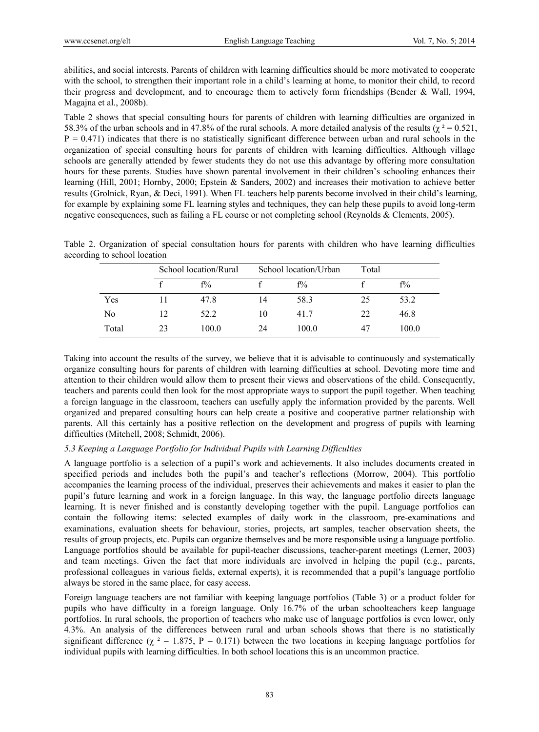abilities, and social interests. Parents of children with learning difficulties should be more motivated to cooperate with the school, to strengthen their important role in a child's learning at home, to monitor their child, to record their progress and development, and to encourage them to actively form friendships (Bender & Wall, 1994, Magajna et al., 2008b).

Table 2 shows that special consulting hours for parents of children with learning difficulties are organized in 58.3% of the urban schools and in 47.8% of the rural schools. A more detailed analysis of the results ( $\gamma^2 = 0.521$ ,  $P = 0.471$ ) indicates that there is no statistically significant difference between urban and rural schools in the organization of special consulting hours for parents of children with learning difficulties. Although village schools are generally attended by fewer students they do not use this advantage by offering more consultation hours for these parents. Studies have shown parental involvement in their children's schooling enhances their learning (Hill, 2001; Hornby, 2000; Epstein & Sanders, 2002) and increases their motivation to achieve better results (Grolnick, Ryan, & Deci, 1991). When FL teachers help parents become involved in their child's learning, for example by explaining some FL learning styles and techniques, they can help these pupils to avoid long-term negative consequences, such as failing a FL course or not completing school (Reynolds & Clements, 2005).

Table 2. Organization of special consultation hours for parents with children who have learning difficulties according to school location

|                |    | School location/Rural |    | School location/Urban |    |       |
|----------------|----|-----------------------|----|-----------------------|----|-------|
|                |    | $f\%$                 |    | $f\%$                 |    | $f\%$ |
| Yes            |    | 47.8                  | 14 | 58.3                  | 25 | 53.2  |
| N <sub>0</sub> | 12 | 52.2                  | 10 | 41.7                  | 22 | 46.8  |
| Total          | 23 | 100.0                 | 24 | 100.0                 | 47 | 100.0 |

Taking into account the results of the survey, we believe that it is advisable to continuously and systematically organize consulting hours for parents of children with learning difficulties at school. Devoting more time and attention to their children would allow them to present their views and observations of the child. Consequently, teachers and parents could then look for the most appropriate ways to support the pupil together. When teaching a foreign language in the classroom, teachers can usefully apply the information provided by the parents. Well organized and prepared consulting hours can help create a positive and cooperative partner relationship with parents. All this certainly has a positive reflection on the development and progress of pupils with learning difficulties (Mitchell, 2008; Schmidt, 2006).

## *5.3 Keeping a Language Portfolio for Individual Pupils with Learning Difficulties*

A language portfolio is a selection of a pupil's work and achievements. It also includes documents created in specified periods and includes both the pupil's and teacher's reflections (Morrow, 2004). This portfolio accompanies the learning process of the individual, preserves their achievements and makes it easier to plan the pupil's future learning and work in a foreign language. In this way, the language portfolio directs language learning. It is never finished and is constantly developing together with the pupil. Language portfolios can contain the following items: selected examples of daily work in the classroom, pre-examinations and examinations, evaluation sheets for behaviour, stories, projects, art samples, teacher observation sheets, the results of group projects, etc. Pupils can organize themselves and be more responsible using a language portfolio. Language portfolios should be available for pupil-teacher discussions, teacher-parent meetings (Lerner, 2003) and team meetings. Given the fact that more individuals are involved in helping the pupil (e.g., parents, professional colleagues in various fields, external experts), it is recommended that a pupil's language portfolio always be stored in the same place, for easy access.

Foreign language teachers are not familiar with keeping language portfolios (Table 3) or a product folder for pupils who have difficulty in a foreign language. Only 16.7% of the urban schoolteachers keep language portfolios. In rural schools, the proportion of teachers who make use of language portfolios is even lower, only 4.3%. An analysis of the differences between rural and urban schools shows that there is no statistically significant difference ( $\chi^2 = 1.875$ , P = 0.171) between the two locations in keeping language portfolios for individual pupils with learning difficulties. In both school locations this is an uncommon practice.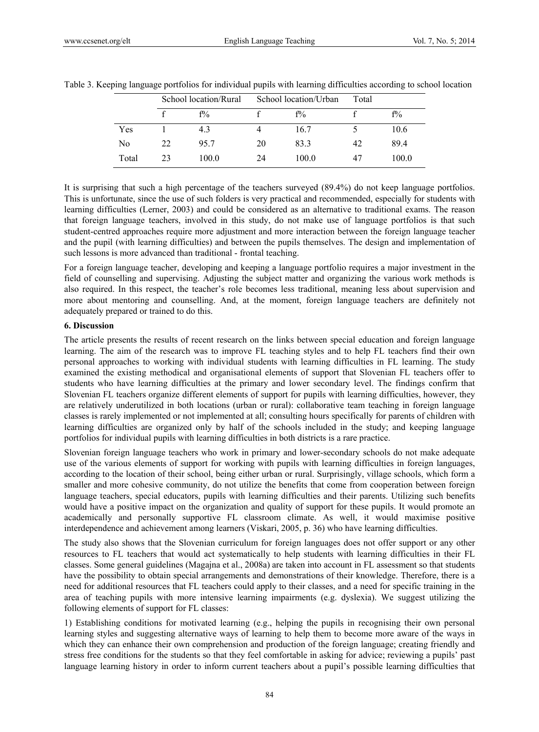|                | School location/Rural |       | School location/Urban |       | Total |       |
|----------------|-----------------------|-------|-----------------------|-------|-------|-------|
|                |                       | $f\%$ |                       | $f\%$ |       | $f\%$ |
| Yes            |                       | 4.3   |                       | 16.7  |       | 10.6  |
| N <sub>0</sub> | 22                    | 95.7  | 20                    | 83.3  | 42    | 89.4  |
| Total          | 23                    | 100.0 | 24                    | 100.0 | 47    | 100.0 |

Table 3. Keeping language portfolios for individual pupils with learning difficulties according to school location

It is surprising that such a high percentage of the teachers surveyed (89.4%) do not keep language portfolios. This is unfortunate, since the use of such folders is very practical and recommended, especially for students with learning difficulties (Lerner, 2003) and could be considered as an alternative to traditional exams. The reason that foreign language teachers, involved in this study, do not make use of language portfolios is that such student-centred approaches require more adjustment and more interaction between the foreign language teacher and the pupil (with learning difficulties) and between the pupils themselves. The design and implementation of such lessons is more advanced than traditional - frontal teaching.

For a foreign language teacher, developing and keeping a language portfolio requires a major investment in the field of counselling and supervising. Adjusting the subject matter and organizing the various work methods is also required. In this respect, the teacher's role becomes less traditional, meaning less about supervision and more about mentoring and counselling. And, at the moment, foreign language teachers are definitely not adequately prepared or trained to do this.

#### **6. Discussion**

The article presents the results of recent research on the links between special education and foreign language learning. The aim of the research was to improve FL teaching styles and to help FL teachers find their own personal approaches to working with individual students with learning difficulties in FL learning. The study examined the existing methodical and organisational elements of support that Slovenian FL teachers offer to students who have learning difficulties at the primary and lower secondary level. The findings confirm that Slovenian FL teachers organize different elements of support for pupils with learning difficulties, however, they are relatively underutilized in both locations (urban or rural): collaborative team teaching in foreign language classes is rarely implemented or not implemented at all; consulting hours specifically for parents of children with learning difficulties are organized only by half of the schools included in the study; and keeping language portfolios for individual pupils with learning difficulties in both districts is a rare practice.

Slovenian foreign language teachers who work in primary and lower-secondary schools do not make adequate use of the various elements of support for working with pupils with learning difficulties in foreign languages, according to the location of their school, being either urban or rural. Surprisingly, village schools, which form a smaller and more cohesive community, do not utilize the benefits that come from cooperation between foreign language teachers, special educators, pupils with learning difficulties and their parents. Utilizing such benefits would have a positive impact on the organization and quality of support for these pupils. It would promote an academically and personally supportive FL classroom climate. As well, it would maximise positive interdependence and achievement among learners (Viskari, 2005, p. 36) who have learning difficulties.

The study also shows that the Slovenian curriculum for foreign languages does not offer support or any other resources to FL teachers that would act systematically to help students with learning difficulties in their FL classes. Some general guidelines (Magajna et al., 2008a) are taken into account in FL assessment so that students have the possibility to obtain special arrangements and demonstrations of their knowledge. Therefore, there is a need for additional resources that FL teachers could apply to their classes, and a need for specific training in the area of teaching pupils with more intensive learning impairments (e.g. dyslexia). We suggest utilizing the following elements of support for FL classes:

1) Establishing conditions for motivated learning (e.g., helping the pupils in recognising their own personal learning styles and suggesting alternative ways of learning to help them to become more aware of the ways in which they can enhance their own comprehension and production of the foreign language; creating friendly and stress free conditions for the students so that they feel comfortable in asking for advice; reviewing a pupils' past language learning history in order to inform current teachers about a pupil's possible learning difficulties that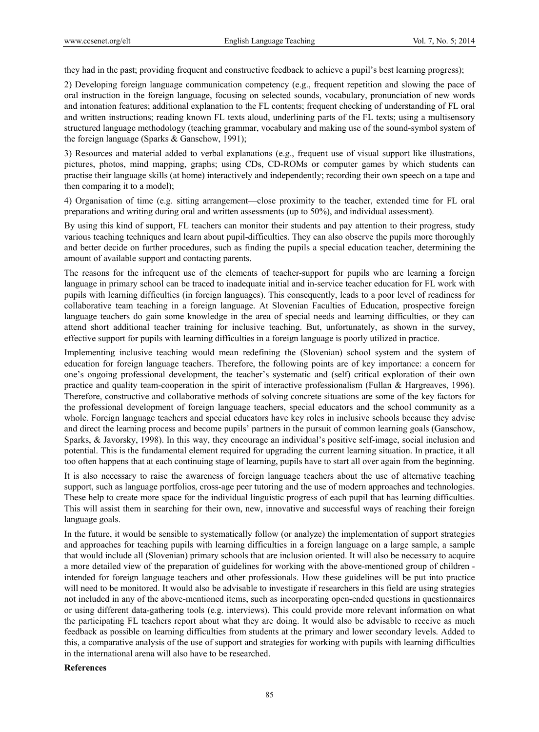they had in the past; providing frequent and constructive feedback to achieve a pupil's best learning progress);

2) Developing foreign language communication competency (e.g., frequent repetition and slowing the pace of oral instruction in the foreign language, focusing on selected sounds, vocabulary, pronunciation of new words and intonation features; additional explanation to the FL contents; frequent checking of understanding of FL oral and written instructions; reading known FL texts aloud, underlining parts of the FL texts; using a multisensory structured language methodology (teaching grammar, vocabulary and making use of the sound-symbol system of the foreign language (Sparks & Ganschow, 1991);

3) Resources and material added to verbal explanations (e.g., frequent use of visual support like illustrations, pictures, photos, mind mapping, graphs; using CDs, CD-ROMs or computer games by which students can practise their language skills (at home) interactively and independently; recording their own speech on a tape and then comparing it to a model);

4) Organisation of time (e.g. sitting arrangement—close proximity to the teacher, extended time for FL oral preparations and writing during oral and written assessments (up to 50%), and individual assessment).

By using this kind of support, FL teachers can monitor their students and pay attention to their progress, study various teaching techniques and learn about pupil-difficulties. They can also observe the pupils more thoroughly and better decide on further procedures, such as finding the pupils a special education teacher, determining the amount of available support and contacting parents.

The reasons for the infrequent use of the elements of teacher-support for pupils who are learning a foreign language in primary school can be traced to inadequate initial and in-service teacher education for FL work with pupils with learning difficulties (in foreign languages). This consequently, leads to a poor level of readiness for collaborative team teaching in a foreign language. At Slovenian Faculties of Education, prospective foreign language teachers do gain some knowledge in the area of special needs and learning difficulties, or they can attend short additional teacher training for inclusive teaching. But, unfortunately, as shown in the survey, effective support for pupils with learning difficulties in a foreign language is poorly utilized in practice.

Implementing inclusive teaching would mean redefining the (Slovenian) school system and the system of education for foreign language teachers. Therefore, the following points are of key importance: a concern for one's ongoing professional development, the teacher's systematic and (self) critical exploration of their own practice and quality team-cooperation in the spirit of interactive professionalism (Fullan & Hargreaves, 1996). Therefore, constructive and collaborative methods of solving concrete situations are some of the key factors for the professional development of foreign language teachers, special educators and the school community as a whole. Foreign language teachers and special educators have key roles in inclusive schools because they advise and direct the learning process and become pupils' partners in the pursuit of common learning goals (Ganschow, Sparks, & Javorsky, 1998). In this way, they encourage an individual's positive self-image, social inclusion and potential. This is the fundamental element required for upgrading the current learning situation. In practice, it all too often happens that at each continuing stage of learning, pupils have to start all over again from the beginning.

It is also necessary to raise the awareness of foreign language teachers about the use of alternative teaching support, such as language portfolios, cross-age peer tutoring and the use of modern approaches and technologies. These help to create more space for the individual linguistic progress of each pupil that has learning difficulties. This will assist them in searching for their own, new, innovative and successful ways of reaching their foreign language goals.

In the future, it would be sensible to systematically follow (or analyze) the implementation of support strategies and approaches for teaching pupils with learning difficulties in a foreign language on a large sample, a sample that would include all (Slovenian) primary schools that are inclusion oriented. It will also be necessary to acquire a more detailed view of the preparation of guidelines for working with the above-mentioned group of children intended for foreign language teachers and other professionals. How these guidelines will be put into practice will need to be monitored. It would also be advisable to investigate if researchers in this field are using strategies not included in any of the above-mentioned items, such as incorporating open-ended questions in questionnaires or using different data-gathering tools (e.g. interviews). This could provide more relevant information on what the participating FL teachers report about what they are doing. It would also be advisable to receive as much feedback as possible on learning difficulties from students at the primary and lower secondary levels. Added to this, a comparative analysis of the use of support and strategies for working with pupils with learning difficulties in the international arena will also have to be researched.

#### **References**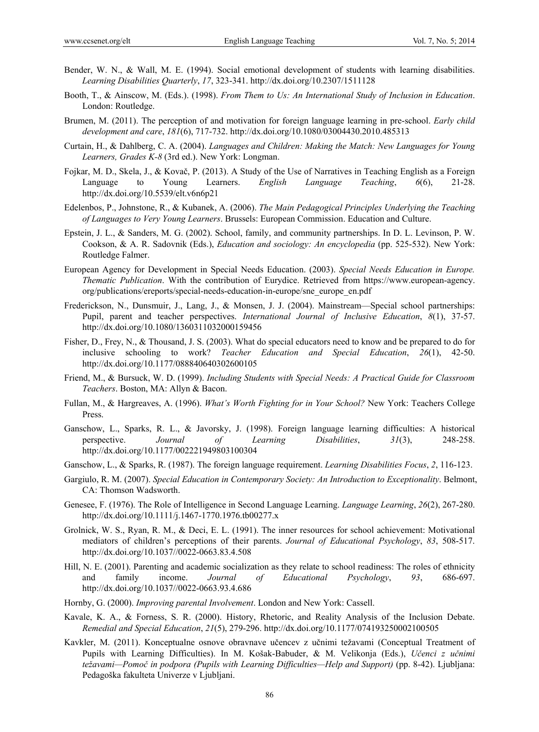- Bender, W. N., & Wall, M. E. (1994). Social emotional development of students with learning disabilities. *Learning Disabilities Quarterly*, *17*, 323-341. http://dx.doi.org/10.2307/1511128
- Booth, T., & Ainscow, M. (Eds.). (1998). *From Them to Us: An International Study of Inclusion in Education*. London: Routledge.
- Brumen, M. (2011). The perception of and motivation for foreign language learning in pre-school. *Early child development and care*, *181*(6), 717-732. http://dx.doi.org/10.1080/03004430.2010.485313
- Curtain, H., & Dahlberg, C. A. (2004). *Languages and Children: Making the Match: New Languages for Young Learners, Grades K-8* (3rd ed.). New York: Longman.
- Fojkar, M. D., Skela, J., & Kovač, P. (2013). A Study of the Use of Narratives in Teaching English as a Foreign Language to Young Learners. *English Language Teaching*, *6*(6), 21-28. http://dx.doi.org/10.5539/elt.v6n6p21
- Edelenbos, P., Johnstone, R., & Kubanek, A. (2006). *The Main Pedagogical Principles Underlying the Teaching of Languages to Very Young Learners*. Brussels: European Commission. Education and Culture.
- Epstein, J. L., & Sanders, M. G. (2002). School, family, and community partnerships. In D. L. Levinson, P. W. Cookson, & A. R. Sadovnik (Eds.), *Education and sociology: An encyclopedia* (pp. 525-532). New York: Routledge Falmer.
- European Agency for Development in Special Needs Education. (2003). *Special Needs Education in Europe. Thematic Publication*. With the contribution of Eurydice. Retrieved from https://www.european-agency. org/publications/ereports/special-needs-education-in-europe/sne\_europe\_en.pdf
- Frederickson, N., Dunsmuir, J., Lang, J., & Monsen, J. J. (2004). Mainstream—Special school partnerships: Pupil, parent and teacher perspectives. *International Journal of Inclusive Education*, *8*(1), 37-57. http://dx.doi.org/10.1080/1360311032000159456
- Fisher, D., Frey, N., & Thousand, J. S. (2003). What do special educators need to know and be prepared to do for inclusive schooling to work? *Teacher Education and Special Education*, *26*(1), 42-50. http://dx.doi.org/10.1177/088840640302600105
- Friend, M., & Bursuck, W. D. (1999). *Including Students with Special Needs: A Practical Guide for Classroom Teachers*. Boston, MA: Allyn & Bacon.
- Fullan, M., & Hargreaves, A. (1996). *What's Worth Fighting for in Your School?* New York: Teachers College Press.
- Ganschow, L., Sparks, R. L., & Javorsky, J. (1998). Foreign language learning difficulties: A historical perspective. *Journal of Learning Disabilities*, *31*(3), 248-258. http://dx.doi.org/10.1177/002221949803100304
- Ganschow, L., & Sparks, R. (1987). The foreign language requirement. *Learning Disabilities Focus*, *2*, 116-123.
- Gargiulo, R. M. (2007). *Special Education in Contemporary Society: An Introduction to Exceptionality*. Belmont, CA: Thomson Wadsworth.
- Genesee, F. (1976). The Role of Intelligence in Second Language Learning. *Language Learning*, *26*(2), 267-280. http://dx.doi.org/10.1111/j.1467-1770.1976.tb00277.x
- Grolnick, W. S., Ryan, R. M., & Deci, E. L. (1991). The inner resources for school achievement: Motivational mediators of children's perceptions of their parents. *Journal of Educational Psychology*, *83*, 508-517. http://dx.doi.org/10.1037//0022-0663.83.4.508
- Hill, N. E. (2001). Parenting and academic socialization as they relate to school readiness: The roles of ethnicity and family income. *Journal of Educational Psychology*, *93*, 686-697. http://dx.doi.org/10.1037//0022-0663.93.4.686
- Hornby, G. (2000). *Improving parental Involvement*. London and New York: Cassell.
- Kavale, K. A., & Forness, S. R. (2000). History, Rhetoric, and Reality Analysis of the Inclusion Debate. *Remedial and Special Education*, *21*(5), 279-296. http://dx.doi.org/10.1177/074193250002100505
- Kavkler, M. (2011). Konceptualne osnove obravnave učencev z učnimi težavami (Conceptual Treatment of Pupils with Learning Difficulties). In M. Košak-Babuder, & M. Velikonja (Eds.), *Učenci z učnimi težavami—Pomoč in podpora (Pupils with Learning Difficulties—Help and Support)* (pp. 8-42). Ljubljana: Pedagoška fakulteta Univerze v Ljubljani.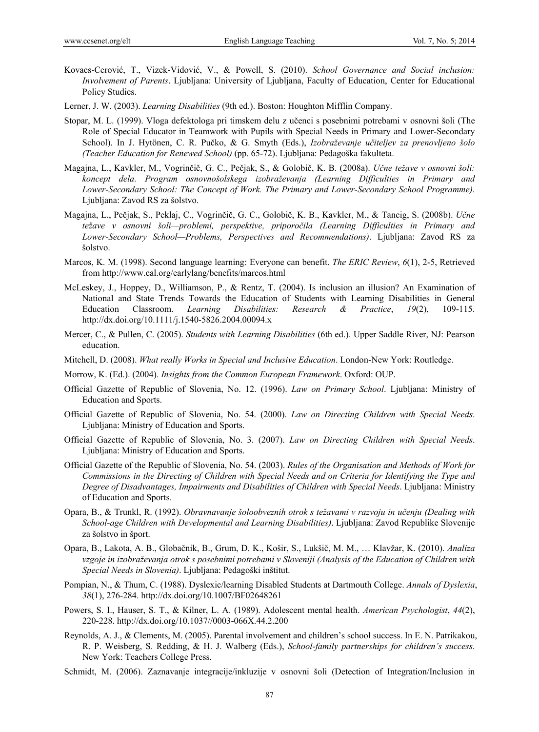- Kovacs-Cerović, T., Vizek-Vidović, V., & Powell, S. (2010). *School Governance and Social inclusion: Involvement of Parents*. Ljubljana: University of Ljubljana, Faculty of Education, Center for Educational Policy Studies.
- Lerner, J. W. (2003). *Learning Disabilities* (9th ed.). Boston: Houghton Mifflin Company.
- Stopar, M. L. (1999). Vloga defektologa pri timskem delu z učenci s posebnimi potrebami v osnovni šoli (The Role of Special Educator in Teamwork with Pupils with Special Needs in Primary and Lower-Secondary School). In J. Hytönen, C. R. Pučko, & G. Smyth (Eds.), *Izobraževanje učiteljev za prenovljeno šolo (Teacher Education for Renewed School)* (pp. 65-72). Ljubljana: Pedagoška fakulteta.
- Magajna, L., Kavkler, M., Vogrinčič, G. C., Pečjak, S., & Golobič, K. B. (2008a). *Učne težave v osnovni šoli: koncept dela. Program osnovnošolskega izobraževanja (Learning Difficulties in Primary and Lower-Secondary School: The Concept of Work. The Primary and Lower-Secondary School Programme)*. Ljubljana: Zavod RS za šolstvo.
- Magajna, L., Pečjak, S., Peklaj, C., Vogrinčič, G. C., Golobič, K. B., Kavkler, M., & Tancig, S. (2008b). *Učne težave v osnovni šoli—problemi, perspektive, priporočila (Learning Difficulties in Primary and Lower-Secondary School—Problems, Perspectives and Recommendations)*. Ljubljana: Zavod RS za šolstvo.
- Marcos, K. M. (1998). Second language learning: Everyone can benefit. *The ERIC Review*, *6*(1), 2-5, Retrieved from http://www.cal.org/earlylang/benefits/marcos.html
- McLeskey, J., Hoppey, D., Williamson, P., & Rentz, T. (2004). Is inclusion an illusion? An Examination of National and State Trends Towards the Education of Students with Learning Disabilities in General Education Classroom. *Learning Disabilities: Research & Practice*, *19*(2), 109-115. http://dx.doi.org/10.1111/j.1540-5826.2004.00094.x
- Mercer, C., & Pullen, C. (2005). *Students with Learning Disabilities* (6th ed.). Upper Saddle River, NJ: Pearson education.
- Mitchell, D. (2008). *What really Works in Special and Inclusive Education*. London-New York: Routledge.
- Morrow, K. (Ed.). (2004). *Insights from the Common European Framework*. Oxford: OUP.
- Official Gazette of Republic of Slovenia, No. 12. (1996). *Law on Primary School*. Ljubljana: Ministry of Education and Sports.
- Official Gazette of Republic of Slovenia, No. 54. (2000). *Law on Directing Children with Special Needs*. Ljubljana: Ministry of Education and Sports.
- Official Gazette of Republic of Slovenia, No. 3. (2007). *Law on Directing Children with Special Needs*. Ljubljana: Ministry of Education and Sports.
- Official Gazette of the Republic of Slovenia, No. 54. (2003). *Rules of the Organisation and Methods of Work for Commissions in the Directing of Children with Special Needs and on Criteria for Identifying the Type and Degree of Disadvantages, Impairments and Disabilities of Children with Special Needs*. Ljubljana: Ministry of Education and Sports.
- Opara, B., & Trunkl, R. (1992). *Obravnavanje šoloobveznih otrok s težavami v razvoju in učenju (Dealing with School-age Children with Developmental and Learning Disabilities)*. Ljubljana: Zavod Republike Slovenije za šolstvo in šport.
- Opara, B., Lakota, A. B., Globačnik, B., Grum, D. K., Košir, S., Lukšič, M. M., … Klavžar, K. (2010). *Analiza vzgoje in izobraževanja otrok s posebnimi potrebami v Sloveniji (Analysis of the Education of Children with Special Needs in Slovenia)*. Ljubljana: Pedagoški inštitut.
- Pompian, N., & Thum, C. (1988). Dyslexic/learning Disabled Students at Dartmouth College. *Annals of Dyslexia*, *38*(1), 276-284. http://dx.doi.org/10.1007/BF02648261
- Powers, S. I., Hauser, S. T., & Kilner, L. A. (1989). Adolescent mental health. *American Psychologist*, *44*(2), 220-228. http://dx.doi.org/10.1037//0003-066X.44.2.200
- Reynolds, A. J., & Clements, M. (2005). Parental involvement and children's school success. In E. N. Patrikakou, R. P. Weisberg, S. Redding, & H. J. Walberg (Eds.), *School-family partnerships for children's success*. New York: Teachers College Press.
- Schmidt, M. (2006). Zaznavanje integracije/inkluzije v osnovni šoli (Detection of Integration/Inclusion in